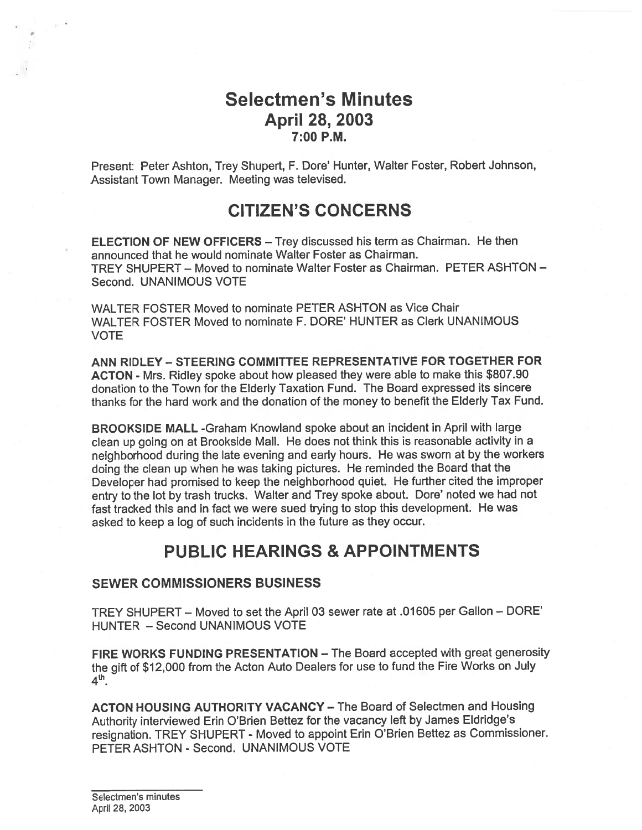# Selectmen's Minutes April 28, 2003 7:00 P.M.

Present: Peter Ashton, Trey Shupert, F. Dote' Hunter, Walter Foster, Robert Johnson, Assistant Town Manager. Meeting was televised.

# CITIZEN'S CONCERNS

ELECTION OF NEW OFFICERS — Trey discussed his term as Chairman. He then announced that he would nominate Walter Foster as Chairman. TREY SHUPERT — Moved to nominate Walter Foster as Chairman. PETER ASHTON — Second. UNANIMOUS VOTE

WALTER FOSTER Moved to nominate PETER ASHTON as Vice Chair WALTER FOSTER Moved to nominate F. DORE' HUNTER as Clerk UNANIMOUS VOTE

ANN RIDLEY — STEERING COMMITTEE REPRESENTATIVE FOR TOGETHER FOR ACTON - Mrs. Ridley spoke about how <sup>p</sup>leased they were able to make this \$807.90 donation to the Town for the Elderly Taxation Fund. The Board expressed its sincere thanks for the hard work and the donation of the money to benefit the Elderly Tax Fund.

BROOKSIDE MALL -Graham Knowland spoke about an incident in April with large clean up going on at Brookside Mall. He does not think this is reasonable activity in <sup>a</sup> neighborhood during the late evening and early hours. He was sworn at by the workers doing the clean up when he was taking <sup>p</sup>ictures. He reminded the Board that the Developer had promised to keep the neighborhood quiet. He further cited the improper entry to the lot by trash trucks. Walter and Trey spoke about. Dote' noted we had not fast tracked this and in fact we were sued trying to stop this development. He was asked to keep <sup>a</sup> log of such incidents in the future as they occur.

# PUBLIC HEARINGS & APPOINTMENTS

## SEWER COMMISSIONERS BUSINESS

TREY SHUPERT — Moved to set the April 03 sewer rate at .01605 per Gallon — DORE' HUNTER — Second UNANIMOUS VOTE

FIRE WORKS FUNDING PRESENTATION — The Board accepted with grea<sup>t</sup> generosity the <sup>g</sup>ift of \$12,000 from the Acton Auto Dealers for use to fund the Fire Works on July  $4<sup>th</sup>$ .

ACTON HOUSING AUTHORITY VACANCY — The Board of Selectmen and Housing Authority interviewed Erin O'Brien Bettez for the vacancy left by James Eldridge's resignation. TREY SHUPERT - Moved to appoint Erin O'Brien Bettez as Commissioner. PETER ASHTON - Second. UNANIMOUS VOTE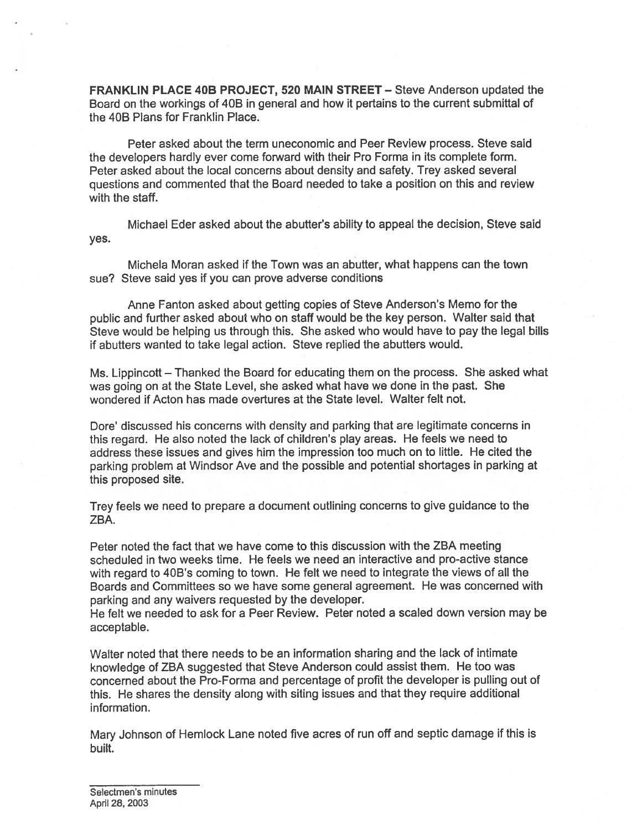FRANKLIN PLACE 40B PROJECT, 520 MAIN STREET — Steve Anderson updated the Board on the workings of 40B in general and how it pertains to the current submittal of the 40B Plans for Franklin Place.

Peter asked about the term uneconomic and Peer Review process. Steve said the developers hardly ever come forward with their Pro Forma in its complete form. Peter asked about the local concerns about density and safety. Trey asked several questions and commented that the Board needed to take <sup>a</sup> position on this and review with the staff.

Michael Eder asked about the abutter's ability to appeal the decision, Steve said yes.

Michela Moran asked if the Town was an abutter, what happens can the town sue? Steve said yes if you can prove adverse conditions

Anne Fanton asked about getting copies of Steve Anderson's Memo for the public and further asked about who on staff would be the key person. Walter said that Steve would be helping us through this. She asked who would have to pay the legal bills if abutters wanted to take legal action. Steve replied the abutters would.

Ms. Lippincott — Thanked the Board for educating them on the process. She asked what was going on at the State Level, she asked what have we done in the past. She wondered if Acton has made overtures at the State level. Walter felt not.

Dore' discussed his concerns with density and parking that are legitimate concerns in this regard. He also noted the lack of children's <sup>p</sup>lay areas. He feels we need to address these issues and gives him the impression too much on to little. He cited the parking problem at Windsor Ave and the possible and potential shortages in parking at this proposed site.

Trey feels we need to prepare <sup>a</sup> document outlining concerns to <sup>g</sup>ive guidance to the ZBA.

Peter noted the fact that we have come to this discussion with the ZBA meeting scheduled in two weeks time. He feels we need an interactive and pro-active stance with regard to 40B's coming to town. He felt we need to integrate the views of all the Boards and Committees so we have some general agreement. He was concerned with parking and any waivers requested by the developer.

He felt we needed to ask for <sup>a</sup> Peer Review. Peter noted <sup>a</sup> scaled down version may be acceptable.

Walter noted that there needs to be an information sharing and the lack of intimate knowledge of ZBA suggested that Steve Anderson could assist them. He too was concerned about the Pro-Forma and percentage of profit the developer is pulling out of this. He shares the density along with siting issues and that they require additional information.

Mary Johnson of Hemlock Lane noted five acres of run off and septic damage if this is built.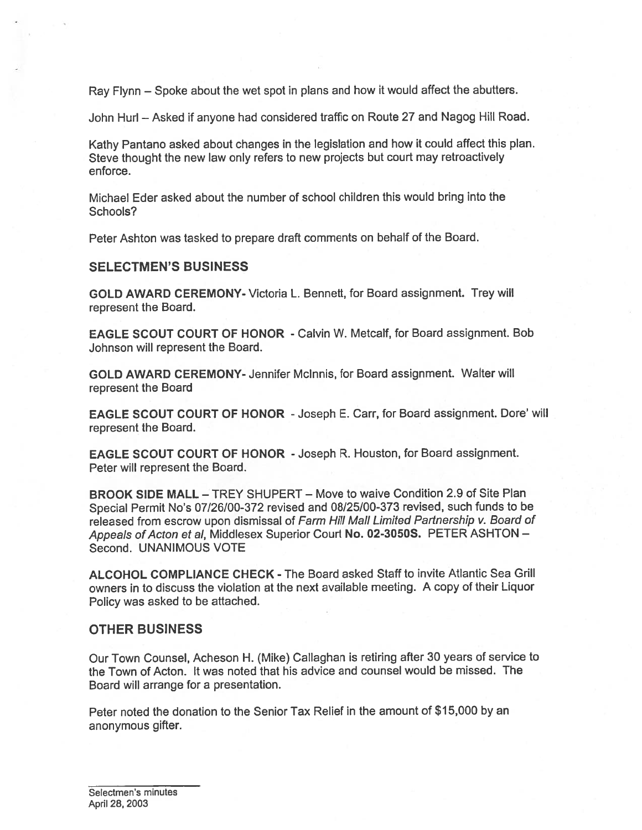Ray Flynn — Spoke about the wet spo<sup>t</sup> in <sup>p</sup>lans and how it would affect the abutters.

John Hurl — Asked if anyone had considered traffic on Route <sup>27</sup> and Nagog Hill Road.

Kathy Pantano asked about changes in the legislation and how it could affect this <sup>p</sup>lan. Steve thought the new law only refers to new projects but court may retroactively enforce.

Michael Eder asked about the number of school children this would bring into the Schools?

Peter Ashton was tasked to prepare draft comments on behalf of the Board.

#### SELECTMEN'S BUSINESS

GOLD AWARD CEREMONY- Victoria L. Bennett, for Board assignment. Trey will represen<sup>t</sup> the Board.

EAGLE SCOUT COURT OF HONOR - Calvin W. Metcalf, for Board assignment. Bob Johnson will represen<sup>t</sup> the Board.

GOLD AWARD CEREMONY- Jennifer Mclnnis, for Board assignment. Walter will represen<sup>t</sup> the Board

EAGLE SCOUT COURT OF HONOR -Joseph E. Carr, for Board assignment. Dore' will represen<sup>t</sup> the Board.

EAGLE SCOUT COURT OF HONOR -Joseph R. Houston, for Board assignment. Peter will represen<sup>t</sup> the Board.

BROOK SIDE MALL — TREY SHUPERT — Move to waive Condition 2.9 of Site Plan Special Permit No's 07/26/00-372 revised and 08/25/00-373 revised, such funds to be released from escrow upon dismissal of Farm Hill Mall Limited Partnership v. Board of Appeals of Acton et al, Middlesex Superior Court No. 02-3050S. PETER ASHTON -Second. UNANIMOUS VOTE

ALCOHOL COMPLIANCE CHECK - The Board asked Staff to invite Atlantic Sea Grill owners in to discuss the violation at the next available meeting. A copy of their Liquor Policy was asked to be attached.

### OTHER BUSINESS

Our Town Counsel, Acheson H. (Mike) Callaghan is retiring after 30 years of service to the Town of Acton. It was noted that his advice and counsel would be missed. The Board will arrange for <sup>a</sup> presentation.

Peter noted the donation to the Senior Tax Relief in the amount of \$15,000 by an anonymous gifter.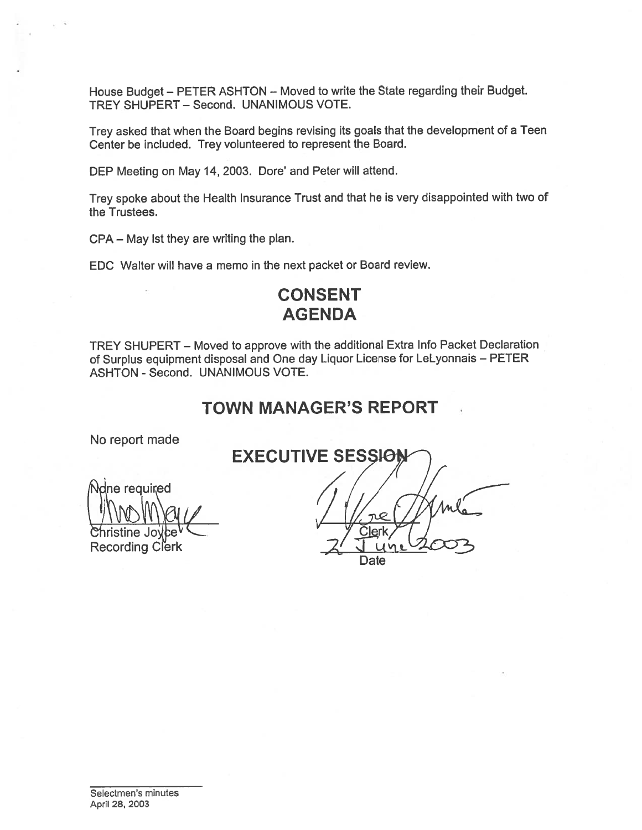House Budget — PETER ASHTON — Moved to write the State regarding their Budget. TREY SHUPERT — Second. UNANIMOUS VOTE.

Trey asked that when the Board begins revising its goals that the development of <sup>a</sup> Teen Center be included. Trey volunteered to represen<sup>t</sup> the Board.

DEP Meeting on May 14,2003. Dore' and Peter will attend.

Trey spoke about the Health Insurance Trust and that he is very disappointed with two of the Trustees.

CPA — May 1st they are writing the plan.

EDC Walter will have <sup>a</sup> memo in the next packet or Board review.

# CONSENT AGENDA

TREY SHUPERT — Moved to approve with the additional Extra Info Packet Declaration of Surplus equipment disposal and One day Liquor License for LeLyonnais — PETER ASHTON - Second. UNANIMOUS VOTE.

# TOWN MANAGER'S REPORT

No repor<sup>t</sup> made

 $\frac{1}{2}$ e required  $\frac{1}{2}$  $\mathsf{r}$ istine Jovce $\mathsf{v}$  and  $\mathsf{v}$  and  $\mathsf{v}$  and  $\mathsf{v}$  and  $\mathsf{v}$  and  $\mathsf{v}$  and  $\mathsf{v}$  and  $\mathsf{v}$  and  $\mathsf{v}$  and  $\mathsf{v}$  and  $\mathsf{v}$  and  $\mathsf{v}$  and  $\mathsf{v}$  and  $\mathsf{v}$  and  $\mathsf{v}$  and  $\mathsf{v$ Recording Clerk

EXECUTIVE SESSION **Date**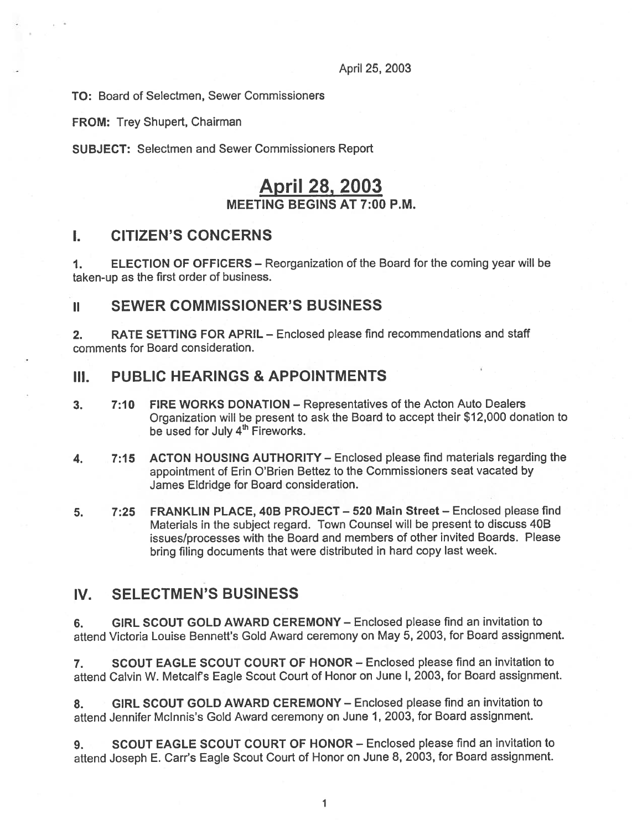## April 25, 2003

TO: Board of Selectmen, Sewer Commissioners

FROM: Trey Shupert, Chairman

SUBJECT: Selectmen and Sewer Commissioners Report

# April 28, 2003

#### MEETING BEGINS AT 7:00 P.M.

## I. CITIZEN'S CONCERNS

1. ELECTION OF OFFICERS — Reorganization of the Board for the coming year will be taken-up as the first order of business.

## II SEWER COMMISSIONER'S BUSINESS

2. RATE SETTING FOR APRIL – Enclosed please find recommendations and staff comments for Board consideration.

## III. PUBLIC HEARINGS & APPOINTMENTS

- 3. 7:10 FIRE WORKS DONATION Representatives of the Acton Auto Dealers Organization will be presen<sup>t</sup> to ask the Board to accep<sup>t</sup> their \$12,000 donation to be used for July 4<sup>th</sup> Fireworks.
- 4. 7:15 ACTON HOUSING AUTHORITY Enclosed please find materials regarding the appointment of Erin O'Brien Bettez to the Commissioners seat vacated by James Eldridge for Board consideration.
- 5. 7:25 FRANKLIN PLACE, 40B PROJECT 520 Main Street Enclosed please find Materials in the subject regard. Town Counsel will be presen<sup>t</sup> to discuss 40B issues/processes with the Board and members of other invited Boards. Please bring filing documents that were distributed in hard copy last week.

## IV. SELECTMEN'S BUSINESS

6. GIRL SCOUT GOLD AWARD CEREMONY — Enclosed please find an invitation to attend Victoria Louise Bennett's Gold Award ceremony on May 5, 2003, for Board assignment.

7. SCOUT EAGLE SCOUT COURT OF HONOR — Enclosed please find an invitation to attend Calvin W. Metcalf's Eagle Scout Court of Honor on June I, 2003, for Board assignment.

8. GIRL SCOUT GOLD AWARD CEREMONY - Enclosed please find an invitation to attend Jennifer Mclnnis's Gold Award ceremony on June 1, 2003, for Board assignment.

9. SCOUT EAGLE SCOUT COURT OF HONOR – Enclosed please find an invitation to attend Joseph E. Carr's Eagle Scout Court of Honor on June 8, 2003, for Board assignment.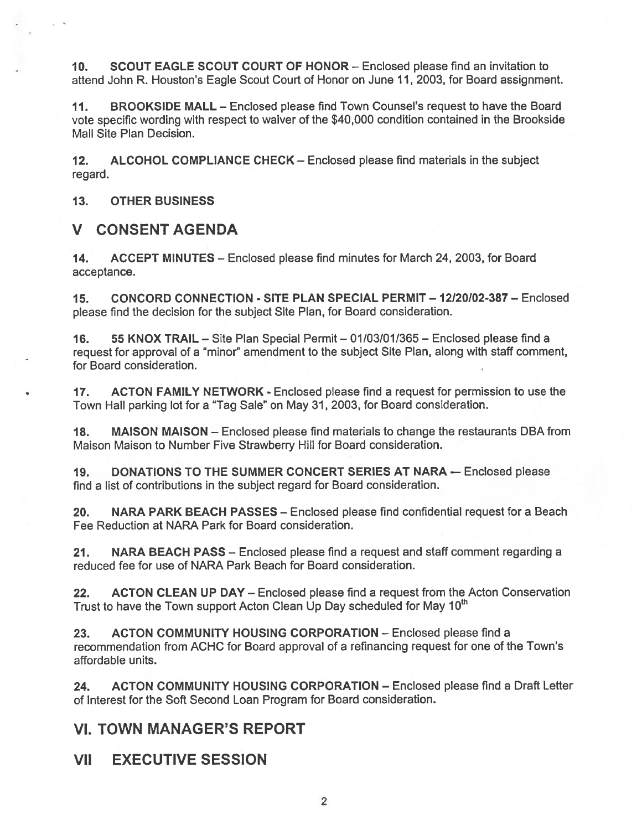10. SCOUT EAGLE SCOUT COURT OF HONOR — Enclosed please find an invitation to attend John R. Houston's Eagle Scout Court of Honor on June 11, 2003, for Board assignment.

11. BROOKSIDE MALL — Enclosed please find Town Counsel's reques<sup>t</sup> to have the Board vote specific wording with respec<sup>t</sup> to waiver of the \$40,000 condition contained in the Brookside Mall Site Plan Decision.

12. ALCOHOL COMPLIANCE CHECK — Enclosed please find materials in the subject regard.

13. OTHER BUSINESS

## V CONSENT AGENDA

14. ACCEPT MINUTES – Enclosed please find minutes for March 24, 2003, for Board acceptance.

15. CONCORD CONNECTION - SITE PLAN SPECIAL PERMIT — 12120102-387 — Enclosed <sup>p</sup>lease find the decision for the subject Site Plan, for Board consideration.

16. 55 KNOX TRAIL — Site Plan Special Permit — 01/03/01/365 — Enclosed please find <sup>a</sup> reques<sup>t</sup> for approval of <sup>a</sup> "minor" amendment to the subject Site Plan, along with staff comment, for Board consideration.

17. ACTON FAMILY NETWORK - Enclosed please find a request for permission to use the Town Hall parking lot for <sup>a</sup> "Tag Sale" on May 31, 2003, for Board consideration.

18. MAISON MAISON — Enclosed please find materials to change the restaurants DBA from Maison Maison to Number Five Strawberry Hill for Board consideration.

19. DONATIONS TO THE SUMMER CONCERT SERIES AT NARA — Enclosed please find <sup>a</sup> list of contributions in the subject regard for Board consideration.

20. NARA PARK BEACH PASSES - Enclosed please find confidential request for a Beach Fee Reduction at NARA Park for Board consideration.

21. NARA BEACH PASS — Enclosed please find <sup>a</sup> reques<sup>t</sup> and staff comment regarding <sup>a</sup> reduced fee for use of NARA Park Beach for Board consideration.

22. ACTON CLEAN UP DAY – Enclosed please find a request from the Acton Conservation Trust to have the Town support Acton Clean Up Day scheduled for May 10<sup>th</sup>

23. ACTON COMMUNITY HOUSING CORPORATION — Enclosed please find <sup>a</sup> recommendation from ACHC for Board approval of <sup>a</sup> refinancing reques<sup>t</sup> for one of the Town's affordable units.

24. ACTON COMMUNITY HOUSING CORPORATION — Enclosed please find <sup>a</sup> Draft Letter of Interest for the Soft Second Loan Program for Board consideration.

## VI. TOWN MANAGER'S REPORT

VII EXECUTIVE SESSION